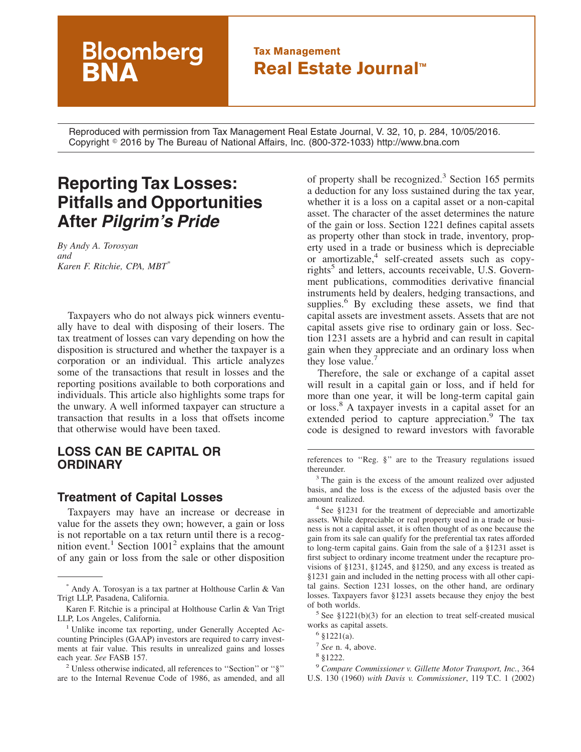## **Tax Management Real Estate Journal™**

Reproduced with permission from Tax Management Real Estate Journal, V. 32, 10, p. 284, 10/05/2016. Copyright - 2016 by The Bureau of National Affairs, Inc. (800-372-1033) http://www.bna.com

# **Reporting Tax Losses: Pitfalls and Opportunities After** *Pilgrim's Pride*

**Bloomberg** 

*By Andy A. Torosyan and Karen F. Ritchie, CPA, MBT\**

Taxpayers who do not always pick winners eventually have to deal with disposing of their losers. The tax treatment of losses can vary depending on how the disposition is structured and whether the taxpayer is a corporation or an individual. This article analyzes some of the transactions that result in losses and the reporting positions available to both corporations and individuals. This article also highlights some traps for the unwary. A well informed taxpayer can structure a transaction that results in a loss that offsets income that otherwise would have been taxed.

### **LOSS CAN BE CAPITAL OR ORDINARY**

#### **Treatment of Capital Losses**

Taxpayers may have an increase or decrease in value for the assets they own; however, a gain or loss is not reportable on a tax return until there is a recognition event.<sup>1</sup> Section  $1001<sup>2</sup>$  explains that the amount of any gain or loss from the sale or other disposition

of property shall be recognized.<sup>3</sup> Section 165 permits a deduction for any loss sustained during the tax year, whether it is a loss on a capital asset or a non-capital asset. The character of the asset determines the nature of the gain or loss. Section 1221 defines capital assets as property other than stock in trade, inventory, property used in a trade or business which is depreciable or amortizable,<sup>4</sup> self-created assets such as copyrights<sup>5</sup> and letters, accounts receivable, U.S. Government publications, commodities derivative financial instruments held by dealers, hedging transactions, and supplies.<sup>6</sup> By excluding these assets, we find that capital assets are investment assets. Assets that are not capital assets give rise to ordinary gain or loss. Section 1231 assets are a hybrid and can result in capital gain when they appreciate and an ordinary loss when they lose value.<sup>7</sup>

Therefore, the sale or exchange of a capital asset will result in a capital gain or loss, and if held for more than one year, it will be long-term capital gain or loss.<sup>8</sup> A taxpayer invests in a capital asset for an extended period to capture appreciation.<sup>9</sup> The tax code is designed to reward investors with favorable

references to ''Reg. §'' are to the Treasury regulations issued thereunder.

<sup>3</sup> The gain is the excess of the amount realized over adjusted basis, and the loss is the excess of the adjusted basis over the amount realized.

<sup>4</sup> See §1231 for the treatment of depreciable and amortizable assets. While depreciable or real property used in a trade or business is not a capital asset, it is often thought of as one because the gain from its sale can qualify for the preferential tax rates afforded to long-term capital gains. Gain from the sale of a §1231 asset is first subject to ordinary income treatment under the recapture provisions of §1231, §1245, and §1250, and any excess is treated as §1231 gain and included in the netting process with all other capital gains. Section 1231 losses, on the other hand, are ordinary losses. Taxpayers favor §1231 assets because they enjoy the best of both worlds.

 $5$  See §1221(b)(3) for an election to treat self-created musical works as capital assets.

<sup>9</sup> *Compare Commissioner v. Gillette Motor Transport, Inc.*, 364 U.S. 130 (1960) *with Davis v. Commissioner*, 119 T.C. 1 (2002)

<sup>\*</sup> Andy A. Torosyan is a tax partner at Holthouse Carlin & Van Trigt LLP, Pasadena, California.

Karen F. Ritchie is a principal at Holthouse Carlin & Van Trigt LLP, Los Angeles, California.

<sup>&</sup>lt;sup>1</sup> Unlike income tax reporting, under Generally Accepted Accounting Principles (GAAP) investors are required to carry investments at fair value. This results in unrealized gains and losses each year. *See* FASB 157.

<sup>2</sup> Unless otherwise indicated, all references to ''Section'' or ''§'' are to the Internal Revenue Code of 1986, as amended, and all

 $6 \text{ } $1221(a)$ .

<sup>7</sup> *See* n. 4, above.

<sup>8</sup> §1222.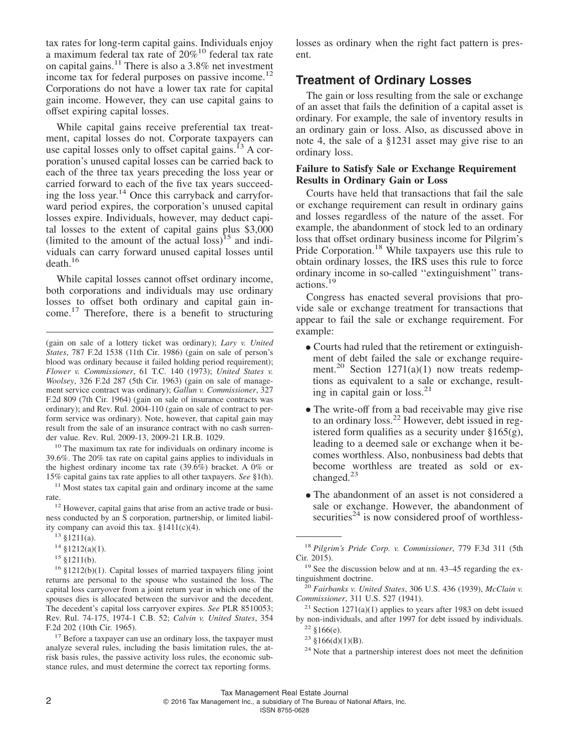tax rates for long-term capital gains. Individuals enjoy a maximum federal tax rate of 20%10 federal tax rate on capital gains.<sup>11</sup> There is also a 3.8% net investment income tax for federal purposes on passive income.<sup>12</sup> Corporations do not have a lower tax rate for capital gain income. However, they can use capital gains to offset expiring capital losses.

While capital gains receive preferential tax treatment, capital losses do not. Corporate taxpayers can use capital losses only to offset capital gains. $^{13}$  A corporation's unused capital losses can be carried back to each of the three tax years preceding the loss year or carried forward to each of the five tax years succeeding the loss year.<sup>14</sup> Once this carryback and carryforward period expires, the corporation's unused capital losses expire. Individuals, however, may deduct capital losses to the extent of capital gains plus \$3,000 (limited to the amount of the actual loss) $15$  and individuals can carry forward unused capital losses until death.16

While capital losses cannot offset ordinary income, both corporations and individuals may use ordinary losses to offset both ordinary and capital gain income.<sup>17</sup> Therefore, there is a benefit to structuring

<sup>10</sup> The maximum tax rate for individuals on ordinary income is 39.6%. The 20% tax rate on capital gains applies to individuals in the highest ordinary income tax rate (39.6%) bracket. A 0% or 15% capital gains tax rate applies to all other taxpayers. *See* §1(h).

 $11$  Most states tax capital gain and ordinary income at the same rate.

<sup>12</sup> However, capital gains that arise from an active trade or business conducted by an S corporation, partnership, or limited liability company can avoid this tax. §1411(c)(4).

<sup>16</sup> §1212(b)(1). Capital losses of married taxpayers filing joint returns are personal to the spouse who sustained the loss. The capital loss carryover from a joint return year in which one of the spouses dies is allocated between the survivor and the decedent. The decedent's capital loss carryover expires. *See* PLR 8510053; Rev. Rul. 74-175, 1974-1 C.B. 52; *Calvin v. United States*, 354 F.2d 202 (10th Cir. 1965).

 $17$  Before a taxpayer can use an ordinary loss, the taxpayer must analyze several rules, including the basis limitation rules, the atrisk basis rules, the passive activity loss rules, the economic substance rules, and must determine the correct tax reporting forms.

losses as ordinary when the right fact pattern is present.

### **Treatment of Ordinary Losses**

The gain or loss resulting from the sale or exchange of an asset that fails the definition of a capital asset is ordinary. For example, the sale of inventory results in an ordinary gain or loss. Also, as discussed above in note 4, the sale of a §1231 asset may give rise to an ordinary loss.

#### **Failure to Satisfy Sale or Exchange Requirement Results in Ordinary Gain or Loss**

Courts have held that transactions that fail the sale or exchange requirement can result in ordinary gains and losses regardless of the nature of the asset. For example, the abandonment of stock led to an ordinary loss that offset ordinary business income for Pilgrim's Pride Corporation.<sup>18</sup> While taxpayers use this rule to obtain ordinary losses, the IRS uses this rule to force ordinary income in so-called ''extinguishment'' transactions.<sup>19</sup>

Congress has enacted several provisions that provide sale or exchange treatment for transactions that appear to fail the sale or exchange requirement. For example:

- Courts had ruled that the retirement or extinguishment of debt failed the sale or exchange requirement.<sup>20</sup> Section 1271(a)(1) now treats redemptions as equivalent to a sale or exchange, resulting in capital gain or  $loss.<sup>21</sup>$
- The write-off from a bad receivable may give rise to an ordinary loss.<sup>22</sup> However, debt issued in registered form qualifies as a security under §165(g), leading to a deemed sale or exchange when it becomes worthless. Also, nonbusiness bad debts that become worthless are treated as sold or exchanged.<sup>23</sup>
- The abandonment of an asset is not considered a sale or exchange. However, the abandonment of securities<sup> $24$ </sup> is now considered proof of worthless-

<sup>21</sup> Section 1271(a)(1) applies to years after 1983 on debt issued by non-individuals, and after 1997 for debt issued by individuals.

ISSN 8755-0628

<sup>(</sup>gain on sale of a lottery ticket was ordinary); *Lary v. United States*, 787 F.2d 1538 (11th Cir. 1986) (gain on sale of person's blood was ordinary because it failed holding period requirement); *Flower v. Commissioner*, 61 T.C. 140 (1973); *United States v. Woolsey*, 326 F.2d 287 (5th Cir. 1963) (gain on sale of management service contract was ordinary); *Gallun v. Commissioner*, 327 F.2d 809 (7th Cir. 1964) (gain on sale of insurance contracts was ordinary); and Rev. Rul. 2004-110 (gain on sale of contract to perform service was ordinary). Note, however, that capital gain may result from the sale of an insurance contract with no cash surrender value. Rev. Rul. 2009-13, 2009-21 I.R.B. 1029.

<sup>13</sup> §1211(a).

<sup>14</sup> §1212(a)(1).

<sup>15</sup> §1211(b).

<sup>18</sup> *Pilgrim's Pride Corp. v. Commissioner*, 779 F.3d 311 (5th Cir. 2015).

<sup>&</sup>lt;sup>19</sup> See the discussion below and at nn. 43–45 regarding the extinguishment doctrine.

<sup>20</sup> *Fairbanks v. United States*, 306 U.S. 436 (1939), *McClain v. Commissioner*, 311 U.S. 527 (1941).

 $22 \text{ }$ \$166(e).

 $23 \text{ } \frac{\text{ }23 \text{ }}{\text{ }66( \text{d)}(1)(\text{B})}.$ 

<sup>24</sup> Note that a partnership interest does not meet the definition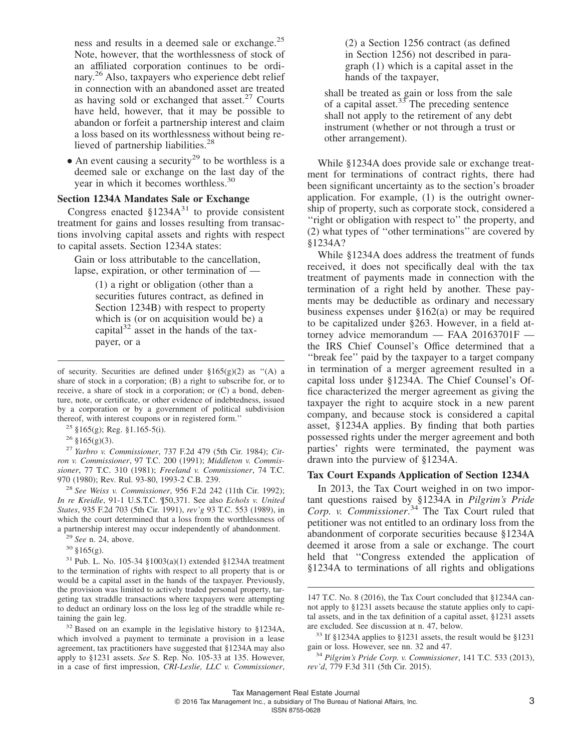ness and results in a deemed sale or exchange.<sup>25</sup> Note, however, that the worthlessness of stock of an affiliated corporation continues to be ordinary.<sup>26</sup> Also, taxpayers who experience debt relief in connection with an abandoned asset are treated as having sold or exchanged that asset. $27$  Courts have held, however, that it may be possible to abandon or forfeit a partnership interest and claim a loss based on its worthlessness without being relieved of partnership liabilities.<sup>28</sup>

• An event causing a security<sup>29</sup> to be worthless is a deemed sale or exchange on the last day of the year in which it becomes worthless.<sup>30</sup>

#### **Section 1234A Mandates Sale or Exchange**

Congress enacted  $$1234A^{31}$  to provide consistent treatment for gains and losses resulting from transactions involving capital assets and rights with respect to capital assets. Section 1234A states:

Gain or loss attributable to the cancellation, lapse, expiration, or other termination of —

> (1) a right or obligation (other than a securities futures contract, as defined in Section 1234B) with respect to property which is (or on acquisition would be) a capital<sup>32</sup> asset in the hands of the taxpayer, or a

 $25 \text{ }$ §165(g); Reg. §1.165-5(i).

 $26$  §165(g)(3).

<sup>27</sup> *Yarbro v. Commissioner*, 737 F.2d 479 (5th Cir. 1984); *Citron v. Commissioner*, 97 T.C. 200 (1991); *Middleton v. Commissioner*, 77 T.C. 310 (1981); *Freeland v. Commissioner*, 74 T.C. 970 (1980); Rev. Rul. 93-80, 1993-2 C.B. 239.

<sup>28</sup> *See Weiss v. Commissioner*, 956 F.2d 242 (11th Cir. 1992); *In re Kreidle*, 91-1 U.S.T.C. ¶50,371. See also *Echols v. United States*, 935 F.2d 703 (5th Cir. 1991), *rev'g* 93 T.C. 553 (1989), in which the court determined that a loss from the worthlessness of a partnership interest may occur independently of abandonment.

<sup>31</sup> Pub. L. No. 105-34 §1003(a)(1) extended §1234A treatment to the termination of rights with respect to all property that is or would be a capital asset in the hands of the taxpayer. Previously, the provision was limited to actively traded personal property, targeting tax straddle transactions where taxpayers were attempting to deduct an ordinary loss on the loss leg of the straddle while retaining the gain leg.

<sup>32</sup> Based on an example in the legislative history to §1234A, which involved a payment to terminate a provision in a lease agreement, tax practitioners have suggested that §1234A may also apply to §1231 assets. *See* S. Rep. No. 105-33 at 135. However, in a case of first impression, *CRI-Leslie, LLC v. Commissioner*, (2) a Section 1256 contract (as defined in Section 1256) not described in paragraph (1) which is a capital asset in the hands of the taxpayer,

shall be treated as gain or loss from the sale of a capital asset.<sup>33</sup> The preceding sentence shall not apply to the retirement of any debt instrument (whether or not through a trust or other arrangement).

While §1234A does provide sale or exchange treatment for terminations of contract rights, there had been significant uncertainty as to the section's broader application. For example, (1) is the outright ownership of property, such as corporate stock, considered a "right or obligation with respect to" the property, and (2) what types of ''other terminations'' are covered by §1234A?

While §1234A does address the treatment of funds received, it does not specifically deal with the tax treatment of payments made in connection with the termination of a right held by another. These payments may be deductible as ordinary and necessary business expenses under §162(a) or may be required to be capitalized under §263. However, in a field attorney advice memorandum — FAA 20163701F the IRS Chief Counsel's Office determined that a ''break fee'' paid by the taxpayer to a target company in termination of a merger agreement resulted in a capital loss under §1234A. The Chief Counsel's Office characterized the merger agreement as giving the taxpayer the right to acquire stock in a new parent company, and because stock is considered a capital asset, §1234A applies. By finding that both parties possessed rights under the merger agreement and both parties' rights were terminated, the payment was drawn into the purview of §1234A.

#### **Tax Court Expands Application of Section 1234A**

In 2013, the Tax Court weighed in on two important questions raised by §1234A in *Pilgrim's Pride Corp. v. Commissioner*. <sup>34</sup> The Tax Court ruled that petitioner was not entitled to an ordinary loss from the abandonment of corporate securities because §1234A deemed it arose from a sale or exchange. The court held that ''Congress extended the application of §1234A to terminations of all rights and obligations

of security. Securities are defined under  $\S165(g)(2)$  as "(A) a share of stock in a corporation; (B) a right to subscribe for, or to receive, a share of stock in a corporation; or (C) a bond, debenture, note, or certificate, or other evidence of indebtedness, issued by a corporation or by a government of political subdivision thereof, with interest coupons or in registered form.''

<sup>29</sup> *See* n. 24, above.

<sup>30</sup> §165(g).

<sup>147</sup> T.C. No. 8 (2016), the Tax Court concluded that §1234A cannot apply to §1231 assets because the statute applies only to capital assets, and in the tax definition of a capital asset, §1231 assets are excluded. See discussion at n. 47, below.

<sup>33</sup> If §1234A applies to §1231 assets, the result would be §1231 gain or loss. However, see nn. 32 and 47.

<sup>34</sup> *Pilgrim's Pride Corp. v. Commissioner*, 141 T.C. 533 (2013), *rev'd*, 779 F.3d 311 (5th Cir. 2015).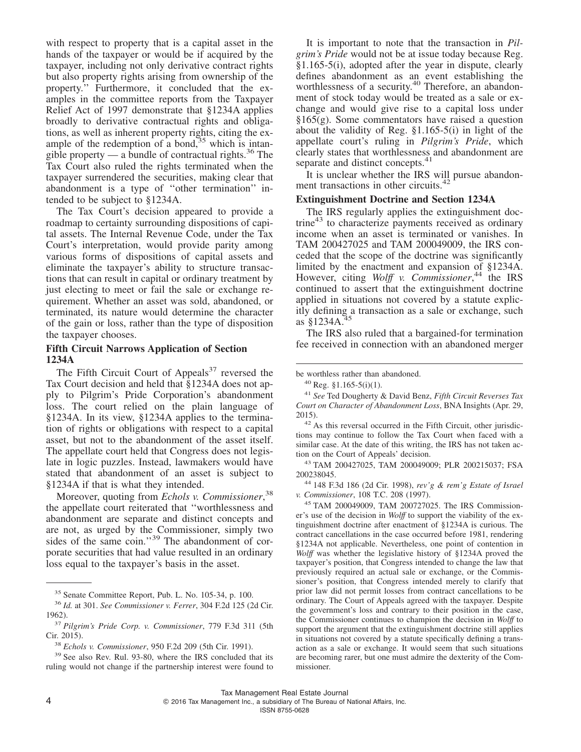with respect to property that is a capital asset in the hands of the taxpayer or would be if acquired by the taxpayer, including not only derivative contract rights but also property rights arising from ownership of the property.'' Furthermore, it concluded that the examples in the committee reports from the Taxpayer Relief Act of 1997 demonstrate that §1234A applies broadly to derivative contractual rights and obligations, as well as inherent property rights, citing the example of the redemption of a bond,  $35$  which is intangible property — a bundle of contractual rights.<sup>36</sup> The Tax Court also ruled the rights terminated when the taxpayer surrendered the securities, making clear that abandonment is a type of ''other termination'' intended to be subject to §1234A.

The Tax Court's decision appeared to provide a roadmap to certainty surrounding dispositions of capital assets. The Internal Revenue Code, under the Tax Court's interpretation, would provide parity among various forms of dispositions of capital assets and eliminate the taxpayer's ability to structure transactions that can result in capital or ordinary treatment by just electing to meet or fail the sale or exchange requirement. Whether an asset was sold, abandoned, or terminated, its nature would determine the character of the gain or loss, rather than the type of disposition the taxpayer chooses.

#### **Fifth Circuit Narrows Application of Section 1234A**

The Fifth Circuit Court of Appeals<sup>37</sup> reversed the Tax Court decision and held that §1234A does not apply to Pilgrim's Pride Corporation's abandonment loss. The court relied on the plain language of §1234A. In its view, §1234A applies to the termination of rights or obligations with respect to a capital asset, but not to the abandonment of the asset itself. The appellate court held that Congress does not legislate in logic puzzles. Instead, lawmakers would have stated that abandonment of an asset is subject to §1234A if that is what they intended.

Moreover, quoting from *Echols v. Commissioner*, 38 the appellate court reiterated that ''worthlessness and abandonment are separate and distinct concepts and are not, as urged by the Commissioner, simply two sides of the same coin." $39$  The abandonment of corporate securities that had value resulted in an ordinary loss equal to the taxpayer's basis in the asset.

It is important to note that the transaction in *Pilgrim's Pride* would not be at issue today because Reg.  $§1.165-5(i)$ , adopted after the year in dispute, clearly defines abandonment as an event establishing the worthlessness of a security.<sup>40</sup> Therefore, an abandonment of stock today would be treated as a sale or exchange and would give rise to a capital loss under  $§165(g)$ . Some commentators have raised a question about the validity of Reg. §1.165-5(i) in light of the appellate court's ruling in *Pilgrim's Pride*, which clearly states that worthlessness and abandonment are separate and distinct concepts.<sup>41</sup>

It is unclear whether the IRS will pursue abandonment transactions in other circuits.<sup>42</sup>

#### **Extinguishment Doctrine and Section 1234A**

The IRS regularly applies the extinguishment doctrine<sup>43</sup> to characterize payments received as ordinary income when an asset is terminated or vanishes. In TAM 200427025 and TAM 200049009, the IRS conceded that the scope of the doctrine was significantly limited by the enactment and expansion of §1234A. However, citing Wolff v. Commissioner,<sup>44</sup> the IRS continued to assert that the extinguishment doctrine applied in situations not covered by a statute explicitly defining a transaction as a sale or exchange, such as  $§1234A$ .<sup>45</sup>

The IRS also ruled that a bargained-for termination fee received in connection with an abandoned merger

<sup>41</sup> *See* Ted Dougherty & David Benz, *Fifth Circuit Reverses Tax Court on Character of Abandonment Loss*, BNA Insights (Apr. 29, 2015).

<sup>42</sup> As this reversal occurred in the Fifth Circuit, other jurisdictions may continue to follow the Tax Court when faced with a similar case. At the date of this writing, the IRS has not taken action on the Court of Appeals' decision.

<sup>43</sup> TAM 200427025, TAM 200049009; PLR 200215037; FSA 200238045.

<sup>44</sup> 148 F.3d 186 (2d Cir. 1998), *rev'g & rem'g Estate of Israel v. Commissioner*, 108 T.C. 208 (1997).

<sup>45</sup> TAM 200049009, TAM 200727025. The IRS Commissioner's use of the decision in *Wolff* to support the viability of the extinguishment doctrine after enactment of §1234A is curious. The contract cancellations in the case occurred before 1981, rendering §1234A not applicable. Nevertheless, one point of contention in *Wolff* was whether the legislative history of §1234A proved the taxpayer's position, that Congress intended to change the law that previously required an actual sale or exchange, or the Commissioner's position, that Congress intended merely to clarify that prior law did not permit losses from contract cancellations to be ordinary. The Court of Appeals agreed with the taxpayer. Despite the government's loss and contrary to their position in the case, the Commissioner continues to champion the decision in *Wolff* to support the argument that the extinguishment doctrine still applies in situations not covered by a statute specifically defining a transaction as a sale or exchange. It would seem that such situations are becoming rarer, but one must admire the dexterity of the Commissioner.

<sup>35</sup> Senate Committee Report, Pub. L. No. 105-34, p. 100.

<sup>36</sup> *Id.* at 301. *See Commissioner v. Ferrer*, 304 F.2d 125 (2d Cir. 1962).

<sup>37</sup> *Pilgrim's Pride Corp. v. Commissioner*, 779 F.3d 311 (5th Cir. 2015).

<sup>38</sup> *Echols v. Commissioner*, 950 F.2d 209 (5th Cir. 1991).

<sup>39</sup> See also Rev. Rul. 93-80, where the IRS concluded that its ruling would not change if the partnership interest were found to

be worthless rather than abandoned.

 $^{40}$  Reg. §1.165-5(i)(1).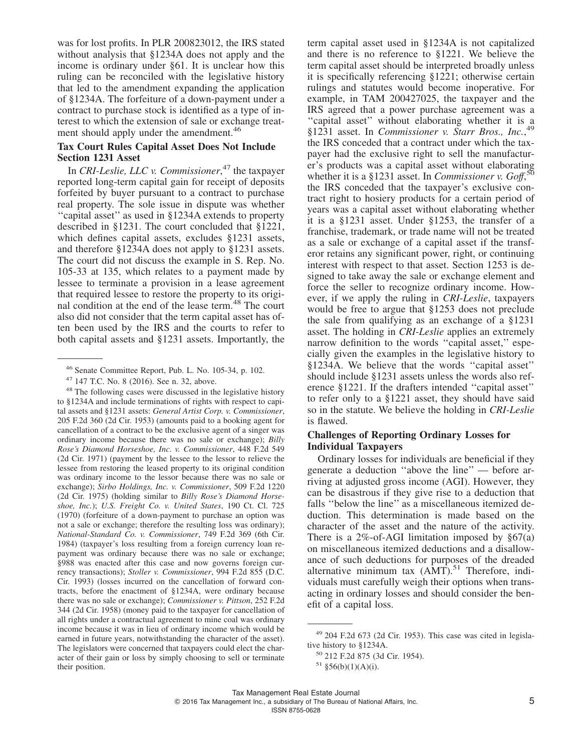was for lost profits. In PLR 200823012, the IRS stated without analysis that §1234A does not apply and the income is ordinary under §61. It is unclear how this ruling can be reconciled with the legislative history that led to the amendment expanding the application of §1234A. The forfeiture of a down-payment under a contract to purchase stock is identified as a type of interest to which the extension of sale or exchange treatment should apply under the amendment.<sup>46</sup>

#### **Tax Court Rules Capital Asset Does Not Include Section 1231 Asset**

In *CRI-Leslie, LLC v. Commissioner*, <sup>47</sup> the taxpayer reported long-term capital gain for receipt of deposits forfeited by buyer pursuant to a contract to purchase real property. The sole issue in dispute was whether ''capital asset'' as used in §1234A extends to property described in §1231. The court concluded that §1221, which defines capital assets, excludes §1231 assets, and therefore §1234A does not apply to §1231 assets. The court did not discuss the example in S. Rep. No. 105-33 at 135, which relates to a payment made by lessee to terminate a provision in a lease agreement that required lessee to restore the property to its original condition at the end of the lease term.<sup>48</sup> The court also did not consider that the term capital asset has often been used by the IRS and the courts to refer to both capital assets and §1231 assets. Importantly, the

term capital asset used in §1234A is not capitalized and there is no reference to §1221. We believe the term capital asset should be interpreted broadly unless it is specifically referencing §1221; otherwise certain rulings and statutes would become inoperative. For example, in TAM 200427025, the taxpayer and the IRS agreed that a power purchase agreement was a "capital asset" without elaborating whether it is a §1231 asset. In *Commissioner v. Starr Bros., Inc.*, 49 the IRS conceded that a contract under which the taxpayer had the exclusive right to sell the manufacturer's products was a capital asset without elaborating whether it is a §1231 asset. In *Commissioner v. Goff*, 50 the IRS conceded that the taxpayer's exclusive contract right to hosiery products for a certain period of years was a capital asset without elaborating whether it is a §1231 asset. Under §1253, the transfer of a franchise, trademark, or trade name will not be treated as a sale or exchange of a capital asset if the transferor retains any significant power, right, or continuing interest with respect to that asset. Section 1253 is designed to take away the sale or exchange element and force the seller to recognize ordinary income. However, if we apply the ruling in *CRI-Leslie*, taxpayers would be free to argue that §1253 does not preclude the sale from qualifying as an exchange of a §1231 asset. The holding in *CRI-Leslie* applies an extremely narrow definition to the words "capital asset," especially given the examples in the legislative history to §1234A. We believe that the words ''capital asset'' should include §1231 assets unless the words also reference §1221. If the drafters intended ''capital asset'' to refer only to a §1221 asset, they should have said so in the statute. We believe the holding in *CRI-Leslie* is flawed.

#### **Challenges of Reporting Ordinary Losses for Individual Taxpayers**

Ordinary losses for individuals are beneficial if they generate a deduction ''above the line'' — before arriving at adjusted gross income (AGI). However, they can be disastrous if they give rise to a deduction that falls ''below the line'' as a miscellaneous itemized deduction. This determination is made based on the character of the asset and the nature of the activity. There is a  $2\%$ -of-AGI limitation imposed by  $\S67(a)$ on miscellaneous itemized deductions and a disallowance of such deductions for purposes of the dreaded alternative minimum tax  $(AMT)^{51}$ . Therefore, individuals must carefully weigh their options when transacting in ordinary losses and should consider the benefit of a capital loss.

<sup>46</sup> Senate Committee Report, Pub. L. No. 105-34, p. 102.

<sup>47</sup> 147 T.C. No. 8 (2016). See n. 32, above.

<sup>48</sup> The following cases were discussed in the legislative history to §1234A and include terminations of rights with respect to capital assets and §1231 assets: *General Artist Corp. v. Commissioner*, 205 F.2d 360 (2d Cir. 1953) (amounts paid to a booking agent for cancellation of a contract to be the exclusive agent of a singer was ordinary income because there was no sale or exchange); *Billy Rose's Diamond Horseshoe, Inc. v. Commissioner*, 448 F.2d 549 (2d Cir. 1971) (payment by the lessee to the lessor to relieve the lessee from restoring the leased property to its original condition was ordinary income to the lessor because there was no sale or exchange); *Sirbo Holdings, Inc. v. Commissioner*, 509 F.2d 1220 (2d Cir. 1975) (holding similar to *Billy Rose's Diamond Horseshoe, Inc.*); *U.S. Freight Co. v. United States*, 190 Ct. Cl. 725 (1970) (forfeiture of a down-payment to purchase an option was not a sale or exchange; therefore the resulting loss was ordinary); *National-Standard Co. v. Commissioner*, 749 F.2d 369 (6th Cir. 1984) (taxpayer's loss resulting from a foreign currency loan repayment was ordinary because there was no sale or exchange; §988 was enacted after this case and now governs foreign currency transactions); *Stoller v. Commissioner*, 994 F.2d 855 (D.C. Cir. 1993) (losses incurred on the cancellation of forward contracts, before the enactment of §1234A, were ordinary because there was no sale or exchange); *Commissioner v. Pittson*, 252 F.2d 344 (2d Cir. 1958) (money paid to the taxpayer for cancellation of all rights under a contractual agreement to mine coal was ordinary income because it was in lieu of ordinary income which would be earned in future years, notwithstanding the character of the asset). The legislators were concerned that taxpayers could elect the character of their gain or loss by simply choosing to sell or terminate their position.

<sup>49</sup> 204 F.2d 673 (2d Cir. 1953). This case was cited in legislative history to §1234A.

<sup>50</sup> 212 F.2d 875 (3d Cir. 1954).

 $51 \text{ } $56(b)(1)(A)(i).$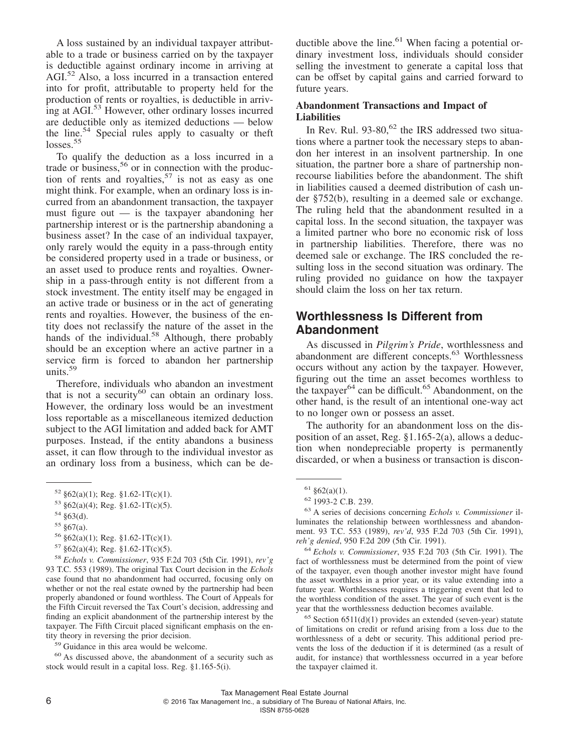A loss sustained by an individual taxpayer attributable to a trade or business carried on by the taxpayer is deductible against ordinary income in arriving at AGI.<sup>52</sup> Also, a loss incurred in a transaction entered into for profit, attributable to property held for the production of rents or royalties, is deductible in arriving at AGI.<sup>53</sup> However, other ordinary losses incurred are deductible only as itemized deductions — below the line.54 Special rules apply to casualty or theft  $losses.<sup>55</sup>$ 

To qualify the deduction as a loss incurred in a trade or business,<sup>56</sup> or in connection with the production of rents and royalties,  $57$  is not as easy as one might think. For example, when an ordinary loss is incurred from an abandonment transaction, the taxpayer must figure out — is the taxpayer abandoning her partnership interest or is the partnership abandoning a business asset? In the case of an individual taxpayer, only rarely would the equity in a pass-through entity be considered property used in a trade or business, or an asset used to produce rents and royalties. Ownership in a pass-through entity is not different from a stock investment. The entity itself may be engaged in an active trade or business or in the act of generating rents and royalties. However, the business of the entity does not reclassify the nature of the asset in the hands of the individual.<sup>58</sup> Although, there probably should be an exception where an active partner in a service firm is forced to abandon her partnership units.59

Therefore, individuals who abandon an investment that is not a security<sup>60</sup> can obtain an ordinary loss. However, the ordinary loss would be an investment loss reportable as a miscellaneous itemized deduction subject to the AGI limitation and added back for AMT purposes. Instead, if the entity abandons a business asset, it can flow through to the individual investor as an ordinary loss from a business, which can be de-

56  $§62(a)(1)$ ; Reg.  $§1.62-1T(c)(1)$ .

<sup>58</sup> *Echols v. Commissioner*, 935 F.2d 703 (5th Cir. 1991), *rev'g* 93 T.C. 553 (1989). The original Tax Court decision in the *Echols* case found that no abandonment had occurred, focusing only on whether or not the real estate owned by the partnership had been properly abandoned or found worthless. The Court of Appeals for the Fifth Circuit reversed the Tax Court's decision, addressing and finding an explicit abandonment of the partnership interest by the taxpayer. The Fifth Circuit placed significant emphasis on the entity theory in reversing the prior decision.

<sup>59</sup> Guidance in this area would be welcome.

<sup>60</sup> As discussed above, the abandonment of a security such as stock would result in a capital loss. Reg. §1.165-5(i).

ductible above the line.<sup>61</sup> When facing a potential ordinary investment loss, individuals should consider selling the investment to generate a capital loss that can be offset by capital gains and carried forward to future years.

#### **Abandonment Transactions and Impact of Liabilities**

In Rev. Rul.  $93-80$ ,  $62$  the IRS addressed two situations where a partner took the necessary steps to abandon her interest in an insolvent partnership. In one situation, the partner bore a share of partnership nonrecourse liabilities before the abandonment. The shift in liabilities caused a deemed distribution of cash under §752(b), resulting in a deemed sale or exchange. The ruling held that the abandonment resulted in a capital loss. In the second situation, the taxpayer was a limited partner who bore no economic risk of loss in partnership liabilities. Therefore, there was no deemed sale or exchange. The IRS concluded the resulting loss in the second situation was ordinary. The ruling provided no guidance on how the taxpayer should claim the loss on her tax return.

### **Worthlessness Is Different from Abandonment**

As discussed in *Pilgrim's Pride*, worthlessness and abandonment are different concepts.<sup>63</sup> Worthlessness occurs without any action by the taxpayer. However, figuring out the time an asset becomes worthless to the taxpayer<sup>64</sup> can be difficult.<sup>65</sup> Abandonment, on the other hand, is the result of an intentional one-way act to no longer own or possess an asset.

The authority for an abandonment loss on the disposition of an asset, Reg. §1.165-2(a), allows a deduction when nondepreciable property is permanently discarded, or when a business or transaction is discon-

 $65$  Section  $6511(d)(1)$  provides an extended (seven-year) statute of limitations on credit or refund arising from a loss due to the worthlessness of a debt or security. This additional period prevents the loss of the deduction if it is determined (as a result of audit, for instance) that worthlessness occurred in a year before the taxpayer claimed it.

 $52 \text{ §}62(a)(1)$ ; Reg. §1.62-1T(c)(1).

 $53 \text{ §}62(a)(4)$ ; Reg. §1.62-1T(c)(5).

<sup>54</sup> §63(d).

 $55 \text{ } $67(a)$ .

 $57 \text{ §}62(a)(4)$ ; Reg. §1.62-1T(c)(5).

 $61 \text{ } \frac{\text{ }62\text{}}{\text{ }62\text{}}(a)(1)$ .

<sup>62</sup> 1993-2 C.B. 239.

<sup>63</sup> A series of decisions concerning *Echols v. Commissioner* illuminates the relationship between worthlessness and abandonment. 93 T.C. 553 (1989), *rev'd*, 935 F.2d 703 (5th Cir. 1991), *reh'g denied*, 950 F.2d 209 (5th Cir. 1991).

<sup>64</sup> *Echols v. Commissioner*, 935 F.2d 703 (5th Cir. 1991). The fact of worthlessness must be determined from the point of view of the taxpayer, even though another investor might have found the asset worthless in a prior year, or its value extending into a future year. Worthlessness requires a triggering event that led to the worthless condition of the asset. The year of such event is the year that the worthlessness deduction becomes available.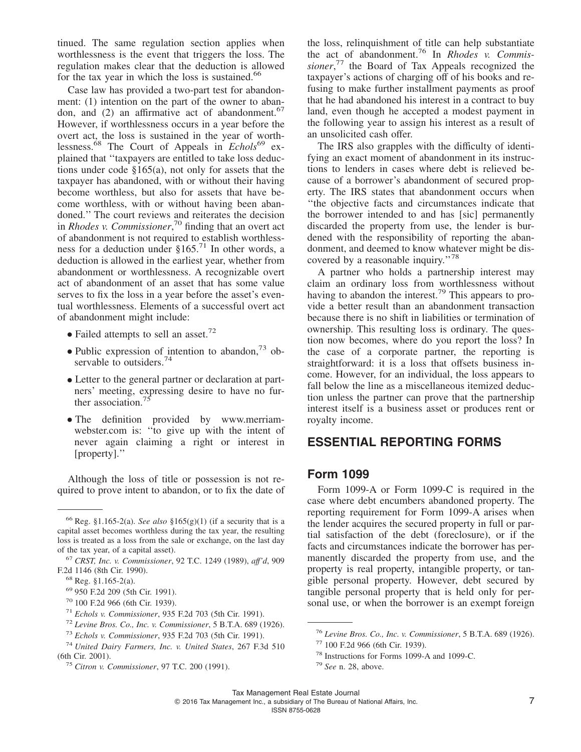tinued. The same regulation section applies when worthlessness is the event that triggers the loss. The regulation makes clear that the deduction is allowed for the tax year in which the loss is sustained.<sup>66</sup>

Case law has provided a two-part test for abandonment: (1) intention on the part of the owner to abandon, and  $(2)$  an affirmative act of abandonment.<sup>67</sup> However, if worthlessness occurs in a year before the overt act, the loss is sustained in the year of worthlessness.<sup>68</sup> The Court of Appeals in *Echols*<sup>69</sup> explained that ''taxpayers are entitled to take loss deductions under code §165(a), not only for assets that the taxpayer has abandoned, with or without their having become worthless, but also for assets that have become worthless, with or without having been abandoned.'' The court reviews and reiterates the decision in *Rhodes v. Commissioner*, <sup>70</sup> finding that an overt act of abandonment is not required to establish worthlessness for a deduction under §165.<sup>71</sup> In other words, a deduction is allowed in the earliest year, whether from abandonment or worthlessness. A recognizable overt act of abandonment of an asset that has some value serves to fix the loss in a year before the asset's eventual worthlessness. Elements of a successful overt act of abandonment might include:

- Failed attempts to sell an asset.<sup>72</sup>
- Public expression of intention to abandon, $73$  observable to outsiders.<sup>74</sup>
- Letter to the general partner or declaration at partners' meeting, expressing desire to have no further association.
- The definition provided by [www.merriam](http://www.merriam-webster.com)[webster.com](http://www.merriam-webster.com) is: "to give up with the intent of never again claiming a right or interest in [property].''

Although the loss of title or possession is not required to prove intent to abandon, or to fix the date of the loss, relinquishment of title can help substantiate the act of abandonment.<sup>76</sup> In *Rhodes v. Commissioner*, <sup>77</sup> the Board of Tax Appeals recognized the taxpayer's actions of charging off of his books and refusing to make further installment payments as proof that he had abandoned his interest in a contract to buy land, even though he accepted a modest payment in the following year to assign his interest as a result of an unsolicited cash offer.

The IRS also grapples with the difficulty of identifying an exact moment of abandonment in its instructions to lenders in cases where debt is relieved because of a borrower's abandonment of secured property. The IRS states that abandonment occurs when ''the objective facts and circumstances indicate that the borrower intended to and has [sic] permanently discarded the property from use, the lender is burdened with the responsibility of reporting the abandonment, and deemed to know whatever might be discovered by a reasonable inquiry."<sup>78</sup>

A partner who holds a partnership interest may claim an ordinary loss from worthlessness without having to abandon the interest.<sup>79</sup> This appears to provide a better result than an abandonment transaction because there is no shift in liabilities or termination of ownership. This resulting loss is ordinary. The question now becomes, where do you report the loss? In the case of a corporate partner, the reporting is straightforward: it is a loss that offsets business income. However, for an individual, the loss appears to fall below the line as a miscellaneous itemized deduction unless the partner can prove that the partnership interest itself is a business asset or produces rent or royalty income.

### **ESSENTIAL REPORTING FORMS**

### **Form 1099**

Form 1099-A or Form 1099-C is required in the case where debt encumbers abandoned property. The reporting requirement for Form 1099-A arises when the lender acquires the secured property in full or partial satisfaction of the debt (foreclosure), or if the facts and circumstances indicate the borrower has permanently discarded the property from use, and the property is real property, intangible property, or tangible personal property. However, debt secured by tangible personal property that is held only for personal use, or when the borrower is an exempt foreign

<sup>&</sup>lt;sup>66</sup> Reg. §1.165-2(a). *See also* §165(g)(1) (if a security that is a capital asset becomes worthless during the tax year, the resulting loss is treated as a loss from the sale or exchange, on the last day of the tax year, of a capital asset).

<sup>67</sup> *CRST, Inc. v. Commissioner*, 92 T.C. 1249 (1989), *aff'd*, 909 F.2d 1146 (8th Cir. 1990).

<sup>68</sup> Reg. §1.165-2(a).

<sup>69</sup> 950 F.2d 209 (5th Cir. 1991).

<sup>70</sup> 100 F.2d 966 (6th Cir. 1939).

<sup>71</sup> *Echols v. Commissioner*, 935 F.2d 703 (5th Cir. 1991).

<sup>72</sup> *Levine Bros. Co., Inc. v. Commissioner*, 5 B.T.A. 689 (1926).

<sup>73</sup> *Echols v. Commissioner*, 935 F.2d 703 (5th Cir. 1991).

<sup>74</sup> *United Dairy Farmers, Inc. v. United States*, 267 F.3d 510 (6th Cir. 2001).

<sup>75</sup> *Citron v. Commissioner*, 97 T.C. 200 (1991).

<sup>76</sup> *Levine Bros. Co., Inc. v. Commissioner*, 5 B.T.A. 689 (1926).

<sup>77</sup> 100 F.2d 966 (6th Cir. 1939).

<sup>78</sup> Instructions for Forms 1099-A and 1099-C.

<sup>79</sup> *See* n. 28, above.